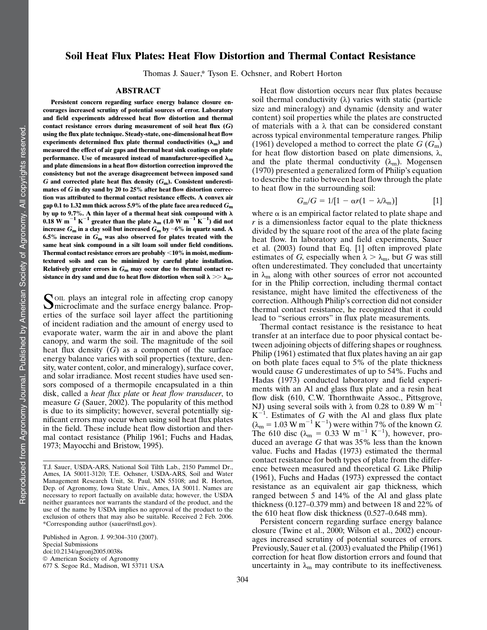# Soil Heat Flux Plates: Heat Flow Distortion and Thermal Contact Resistance<sup>1</sup>

Thomas J. Sauer,\* Tyson E. Ochsner, and Robert Horton

# ABSTRACT

Persistent concern regarding surface energy balance closure encourages increased scrutiny of potential sources of error. Laboratory and field experiments addressed heat flow distortion and thermal contact resistance errors during measurement of soil heat flux  $(G)$ using the flux plate technique. Steady-state, one-dimensional heat flow experiments determined flux plate thermal conductivities  $(\lambda_m)$  and measured the effect of air gaps and thermal heat sink coatings on plate performance. Use of measured instead of manufacturer-specified  $\lambda_m$ and plate dimensions in a heat flow distortion correction improved the consistency but not the average disagreement between imposed sand G and corrected plate heat flux density  $(G_m)$ . Consistent underestimates of G in dry sand by 20 to 25% after heat flow distortion correction was attributed to thermal contact resistance effects. A convex air gap 0.1 to 1.32 mm thick across 5.9% of the plate face area reduced  $G<sub>m</sub>$ by up to 9.7%. A thin layer of a thermal heat sink compound with  $\lambda$  $0.18 \text{ W m}^{-1} \text{ K}^{-1}$  greater than the plate  $\lambda_{\text{m}}$  (1.0 W m $^{-1} \text{ K}^{-1}$ ) did not increase  $G_m$  in a clay soil but increased  $G_m$  by ~6% in quartz sand. A 6.5% increase in  $G_m$  was also observed for plates treated with the same heat sink compound in a silt loam soil under field conditions. Thermal contact resistance errors are probably  $<\!10\%$  in moist, mediumtextured soils and can be minimized by careful plate installation. Relatively greater errors in  $G<sub>m</sub>$  may occur due to thermal contact resistance in dry sand and due to heat flow distortion when soil  $\lambda >> \lambda_{\rm m}$ .

SOIL plays an integral role in affecting crop canopy<br>
microclimate and the surface energy balance. Properties of the surface soil layer affect the partitioning of incident radiation and the amount of energy used to evaporate water, warm the air in and above the plant canopy, and warm the soil. The magnitude of the soil heat flux density  $(G)$  as a component of the surface energy balance varies with soil properties (texture, density, water content, color, and mineralogy), surface cover, and solar irradiance. Most recent studies have used sensors composed of a thermopile encapsulated in a thin disk, called a heat flux plate or heat flow transducer, to measure  $G$  (Sauer, 2002). The popularity of this method is due to its simplicity; however, several potentially significant errors may occur when using soil heat flux plates in the field. These include heat flow distortion and thermal contact resistance (Philip 1961; Fuchs and Hadas, 1973; Mayocchi and Bristow, 1995).

Published in Agron. J. 99:304–310 (2007). Special Submissions doi:10.2134/agronj2005.0038s  $@$  American Society of Agronomy 677 S. Segoe Rd., Madison, WI 53711 USA

Heat flow distortion occurs near flux plates because soil thermal conductivity  $(\lambda)$  varies with static (particle size and mineralogy) and dynamic (density and water content) soil properties while the plates are constructed of materials with a  $\lambda$  that can be considered constant across typical environmental temperature ranges. Philip (1961) developed a method to correct the plate  $G(G<sub>m</sub>)$ for heat flow distortion based on plate dimensions,  $\lambda$ , and the plate thermal conductivity  $(\lambda_m)$ . Mogensen (1970) presented a generalized form of Philip's equation to describe the ratio between heat flow through the plate to heat flow in the surrounding soil:

$$
G_{\rm m}/G = 1/[1 - \alpha r(1 - \lambda/\lambda_{\rm m})]
$$
 [1]

where  $\alpha$  is an empirical factor related to plate shape and  $r$  is a dimensionless factor equal to the plate thickness divided by the square root of the area of the plate facing heat flow. In laboratory and field experiments, Sauer et al. (2003) found that Eq. [1] often improved plate estimates of G, especially when  $\lambda > \lambda_m$ , but G was still often underestimated. They concluded that uncertainty in  $\lambda_{\rm m}$  along with other sources of error not accounted for in the Philip correction, including thermal contact resistance, might have limited the effectiveness of the correction. Although Philip's correction did not consider thermal contact resistance, he recognized that it could lead to "serious errors" in flux plate measurements.

Thermal contact resistance is the resistance to heat transfer at an interface due to poor physical contact between adjoining objects of differing shapes or roughness. Philip (1961) estimated that flux plates having an air gap on both plate faces equal to 5% of the plate thickness would cause G underestimates of up to 54%. Fuchs and Hadas (1973) conducted laboratory and field experiments with an Al and glass flux plate and a resin heat flow disk (610, C.W. Thornthwaite Assoc., Pittsgrove, NJ) using several soils with  $\lambda$  from 0.28 to 0.89 W m<sup>-1</sup>  $K^{-1}$ . Estimates of G with the Al and glass flux plate  $(\lambda_m = 1.03 \text{ W m}^{-1} \text{ K}^{-1})$  were within 7% of the known G. The 610 disc ( $\lambda_{\rm m} = 0.33$  W m<sup>-1</sup> K<sup>-1</sup>), however, produced an average G that was 35% less than the known value. Fuchs and Hadas (1973) estimated the thermal contact resistance for both types of plate from the difference between measured and theoretical G. Like Philip (1961), Fuchs and Hadas (1973) expressed the contact resistance as an equivalent air gap thickness, which ranged between 5 and 14% of the Al and glass plate thickness (0.127–0.379 mm) and between 18 and 22% of the 610 heat flow disk thickness (0.527–0.648 mm).

Persistent concern regarding surface energy balance closure (Twine et al., 2000; Wilson et al., 2002) encourages increased scrutiny of potential sources of errors. Previously, Sauer et al. (2003) evaluated the Philip (1961) correction for heat flow distortion errors and found that uncertainty in  $\lambda_m$  may contribute to its ineffectiveness.

T.J. Sauer, USDA-ARS, National Soil Tilth Lab., 2150 Pammel Dr., Ames, IA 50011-3120; T.E. Ochsner, USDA-ARS, Soil and Water Management Research Unit, St. Paul, MN 55108; and R. Horton, Dep. of Agronomy, Iowa State Univ., Ames, IA 50011. Names are necessary to report factually on available data; however, the USDA neither guarantees nor warrants the standard of the product, and the use of the name by USDA implies no approval of the product to the exclusion of others that may also be suitable. Received 2 Feb. 2006. \*Corresponding author (sauer@nstl.gov).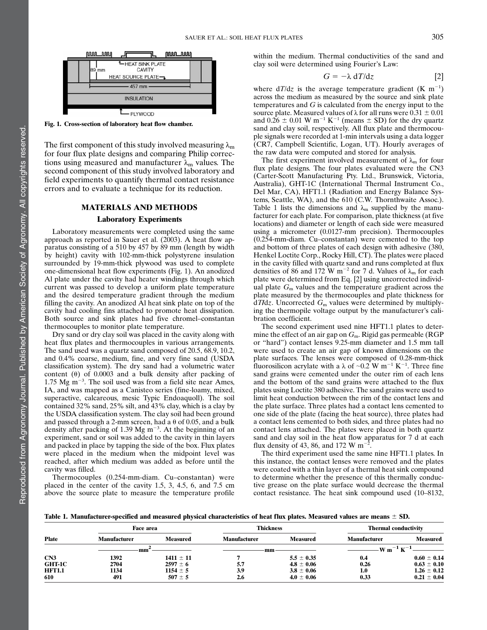

Fig. 1. Cross-section of laboratory heat flow chamber.

The first component of this study involved measuring  $\lambda_m$ for four flux plate designs and comparing Philip corrections using measured and manufacturer  $\lambda_{\rm m}$  values. The second component of this study involved laboratory and field experiments to quantify thermal contact resistance errors and to evaluate a technique for its reduction.

### MATERIALS AND METHODS

### Laboratory Experiments

Laboratory measurements were completed using the same approach as reported in Sauer et al. (2003). A heat flow apparatus consisting of a 510 by 457 by 89 mm (length by width by height) cavity with 102-mm-thick polystyrene insulation surrounded by 19-mm-thick plywood was used to complete one-dimensional heat flow experiments (Fig. 1). An anodized Al plate under the cavity had heater windings through which current was passed to develop a uniform plate temperature and the desired temperature gradient through the medium filling the cavity. An anodized Al heat sink plate on top of the cavity had cooling fins attached to promote heat dissipation. Both source and sink plates had five chromel–constantan thermocouples to monitor plate temperature.

Dry sand or dry clay soil was placed in the cavity along with heat flux plates and thermocouples in various arrangements. The sand used was a quartz sand composed of 20.5, 68.9, 10.2, and 0.4% coarse, medium, fine, and very fine sand (USDA classification system). The dry sand had a volumetric water content  $(\theta)$  of 0.0003 and a bulk density after packing of 1.75 Mg  $\text{m}^{-3}$ . The soil used was from a field site near Ames, IA, and was mapped as a Canisteo series (fine-loamy, mixed, superactive, calcareous, mesic Typic Endoaquoll). The soil contained 32% sand, 25% silt, and 43% clay, which is a clay by the USDA classification system. The clay soil had been ground and passed through a 2-mm screen, had a  $\theta$  of 0.05, and a bulk density after packing of 1.39 Mg  $m^{-3}$ . At the beginning of an experiment, sand or soil was added to the cavity in thin layers and packed in place by tapping the side of the box. Flux plates were placed in the medium when the midpoint level was reached, after which medium was added as before until the cavity was filled.

Thermocouples (0.254-mm-diam. Cu–constantan) were placed in the center of the cavity 1.5, 3, 4.5, 6, and 7.5 cm above the source plate to measure the temperature profile within the medium. Thermal conductivities of the sand and clay soil were determined using Fourier's Law:

$$
G = -\lambda \, dT/dz \tag{2}
$$

where  $dT/dz$  is the average temperature gradient (K m<sup>-1</sup>) across the medium as measured by the source and sink plate temperatures and G is calculated from the energy input to the source plate. Measured values of  $\lambda$  for all runs were 0.31  $\pm$  0.01 and  $0.\overline{26} \pm 0.01$  W m<sup>-1</sup> K<sup>-1</sup> (means  $\pm$  SD) for the dry quartz sand and clay soil, respectively. All flux plate and thermocouple signals were recorded at 1-min intervals using a data logger (CR7, Campbell Scientific, Logan, UT). Hourly averages of the raw data were computed and stored for analysis.

The first experiment involved measurement of  $\lambda_{\rm m}$  for four flux plate designs. The four plates evaluated were the CN3 (Carter-Scott Manufacturing Pty. Ltd., Brunswick, Victoria, Australia), GHT-1C (International Thermal Instrument Co., Del Mar, CA), HFT1.1 (Radiation and Energy Balance Systems, Seattle, WA), and the 610 (C.W. Thornthwaite Assoc.). Table 1 lists the dimensions and  $\lambda_m$  supplied by the manufacturer for each plate. For comparison, plate thickness (at five locations) and diameter or length of each side were measured using a micrometer (0.0127-mm precision). Thermocouples (0.254-mm-diam. Cu–constantan) were cemented to the top and bottom of three plates of each design with adhesive (380, Henkel Loctite Corp., Rocky Hill, CT). The plates were placed in the cavity filled with quartz sand and runs completed at flux densities of 86 and 172 W m<sup>-2</sup> for 7 d. Values of  $\lambda_{\rm m}$  for each plate were determined from Eq. [2] using uncorrected individual plate  $G<sub>m</sub>$  values and the temperature gradient across the plate measured by the thermocouples and plate thickness for  $dT/dz$ . Uncorrected  $G<sub>m</sub>$  values were determined by multiplying the thermopile voltage output by the manufacturer's calibration coefficient.

The second experiment used nine HFT1.1 plates to determine the effect of an air gap on  $G<sub>m</sub>$ . Rigid gas permeable (RGP or "hard") contact lenses 9.25-mm diameter and 1.5 mm tall were used to create an air gap of known dimensions on the plate surfaces. The lenses were composed of 0.28-mm-thick fluorosilicon acrylate with a  $\lambda$  of  $\sim 0.2$  W m<sup>-1</sup> K<sup>-1</sup>. Three fine sand grains were cemented under the outer rim of each lens and the bottom of the sand grains were attached to the flux plates using Loctite 380 adhesive. The sand grains were used to limit heat conduction between the rim of the contact lens and the plate surface. Three plates had a contact lens cemented to one side of the plate (facing the heat source), three plates had a contact lens cemented to both sides, and three plates had no contact lens attached. The plates were placed in both quartz sand and clay soil in the heat flow apparatus for 7 d at each flux density of 43, 86, and 172 W m<sup>-2</sup> .

The third experiment used the same nine HFT1.1 plates. In this instance, the contact lenses were removed and the plates were coated with a thin layer of a thermal heat sink compound to determine whether the presence of this thermally conductive grease on the plate surface would decrease the thermal contact resistance. The heat sink compound used (10–8132,

Table 1. Manufacturer-specified and measured physical characteristics of heat flux plates. Measured values are means  $\pm$  SD.

|        | Face area           |                 | <b>Thickness</b>    |                 | <b>Thermal conductivity</b> |                 |
|--------|---------------------|-----------------|---------------------|-----------------|-----------------------------|-----------------|
| Plate  | <b>Manufacturer</b> | <b>Measured</b> | <b>Manufacturer</b> | <b>Measured</b> | <b>Manufacturer</b>         | <b>Measured</b> |
|        | mm                  |                 | mm                  |                 | W m                         |                 |
| CN3    | 1392                | $1411 \pm 11$   |                     | $5.5 \pm 0.35$  | 0.4                         | $0.60 \pm 0.14$ |
| GHT-1C | 2704                | $2597 \pm 6$    | 5.7                 | $4.8 \pm 0.06$  | 0.26                        | $0.63 \pm 0.10$ |
| HFT1.1 | 1134                | $1154 \pm 5$    | 3.9                 | $3.8 \pm 0.06$  | 1.0                         | $1.26 \pm 0.12$ |
| 610    | 491                 | $507 \pm 5$     | 2.6                 | $4.0 \pm 0.06$  | 0.33                        | $0.21 \pm 0.04$ |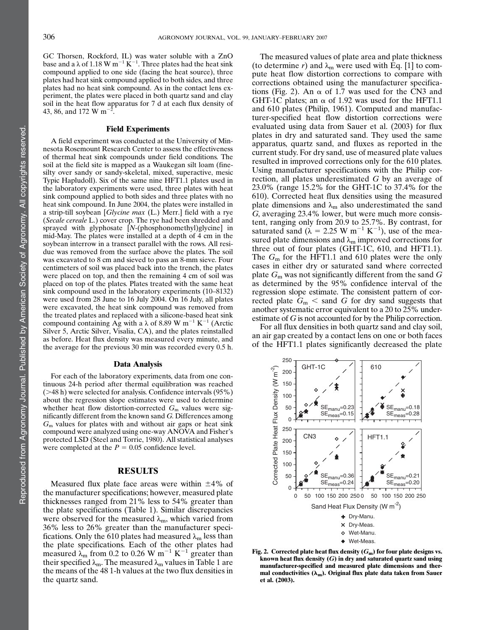GC Thorsen, Rockford, IL) was water soluble with a ZnO base and a  $\lambda$  of 1.18 W m<sup>-1</sup> K<sup>-1</sup>. Three plates had the heat sink compound applied to one side (facing the heat source), three plates had heat sink compound applied to both sides, and three plates had no heat sink compound. As in the contact lens experiment, the plates were placed in both quartz sand and clay soil in the heat flow apparatus for 7 d at each flux density of 43, 86, and 172 W m<sup>-2</sup> .

#### Field Experiments

A field experiment was conducted at the University of Minnesota Rosemount Research Center to assess the effectiveness of thermal heat sink compounds under field conditions. The soil at the field site is mapped as a Waukegan silt loam (finesilty over sandy or sandy-skeletal, mixed, superactive, mesic Typic Hapludoll). Six of the same nine HFT1.1 plates used in the laboratory experiments were used, three plates with heat sink compound applied to both sides and three plates with no heat sink compound. In June 2004, the plates were installed in a strip-till soybean [Glycine max (L.) Merr.] field with a rye (Secale cereale L.) cover crop. The rye had been shredded and sprayed with glyphosate [N-(phosphonomethyl)glycine] in mid-May. The plates were installed at a depth of 4 cm in the soybean interrow in a transect parallel with the rows. All residue was removed from the surface above the plates. The soil was excavated to 8 cm and sieved to pass an 8-mm sieve. Four centimeters of soil was placed back into the trench, the plates were placed on top, and then the remaining 4 cm of soil was placed on top of the plates. Plates treated with the same heat sink compound used in the laboratory experiments (10–8132) were used from 28 June to 16 July 2004. On 16 July, all plates were excavated, the heat sink compound was removed from the treated plates and replaced with a silicone-based heat sink compound containing Ag with a  $\lambda$  of 8.89 W m<sup>-1</sup> K<sup>-1</sup> (Arctic Silver 5, Arctic Silver, Visalia, CA), and the plates reinstalled as before. Heat flux density was measured every minute, and the average for the previous 30 min was recorded every 0.5 h.

#### Data Analysis

For each of the laboratory experiments, data from one continuous 24-h period after thermal equilibration was reached  $($  >48 h) were selected for analysis. Confidence intervals  $(95\%)$ about the regression slope estimates were used to determine whether heat flow distortion-corrected  $G<sub>m</sub>$  values were significantly different from the known sand G. Differences among  $G<sub>m</sub>$  values for plates with and without air gaps or heat sink compound were analyzed using one-way ANOVA and Fisher's protected LSD (Steel and Torrie, 1980). All statistical analyses were completed at the  $P = 0.05$  confidence level.

### RESULTS

Measured flux plate face areas were within  $\pm 4\%$  of the manufacturer specifications; however, measured plate thicknesses ranged from 21% less to 54% greater than the plate specifications (Table 1). Similar discrepancies were observed for the measured  $\lambda_m$ , which varied from 36% less to 26% greater than the manufacturer specifications. Only the 610 plates had measured  $\lambda_m$  less than the plate specifications. Each of the other plates had measured  $\lambda_{\rm m}$  from 0.2 to 0.26 W m<sup>-1</sup> K<sup>-1</sup> greater than their specified  $\lambda_{m}$ . The measured  $\lambda_{m}$  values in Table 1 are the means of the 48 1-h values at the two flux densities in the quartz sand.

The measured values of plate area and plate thickness (to determine r) and  $\lambda_{m}$  were used with Eq. [1] to compute heat flow distortion corrections to compare with corrections obtained using the manufacturer specifications (Fig. 2). An  $\alpha$  of 1.7 was used for the CN3 and GHT-1C plates; an  $\alpha$  of 1.92 was used for the HFT1.1 and 610 plates (Philip, 1961). Computed and manufacturer-specified heat flow distortion corrections were evaluated using data from Sauer et al. (2003) for flux plates in dry and saturated sand. They used the same apparatus, quartz sand, and fluxes as reported in the current study. For dry sand, use of measured plate values resulted in improved corrections only for the 610 plates. Using manufacturer specifications with the Philip correction, all plates underestimated G by an average of 23.0% (range 15.2% for the GHT-1C to 37.4% for the 610). Corrected heat flux densities using the measured plate dimensions and  $\lambda_{\rm m}$  also underestimated the sand G, averaging 23.4% lower, but were much more consistent, ranging only from 20.9 to 25.7%. By contrast, for saturated sand ( $\lambda = 2.25$  W m<sup>-1</sup> K<sup>-1</sup>), use of the measured plate dimensions and  $\lambda_m$  improved corrections for three out of four plates (GHT-1C, 610, and HFT1.1). The  $G<sub>m</sub>$  for the HFT1.1 and 610 plates were the only cases in either dry or saturated sand where corrected plate  $G_m$  was not significantly different from the sand  $G$ as determined by the 95% confidence interval of the regression slope estimate. The consistent pattern of corrected plate  $G_m <$  sand G for dry sand suggests that another systematic error equivalent to a 20 to 25% underestimate of G is not accounted for by the Philip correction.

For all flux densities in both quartz sand and clay soil, an air gap created by a contact lens on one or both faces of the HFT1.1 plates significantly decreased the plate



Fig. 2. Corrected plate heat flux density  $(G_m)$  for four plate designs vs. known heat flux density  $(G)$  in dry and saturated quartz sand using manufacturer-specified and measured plate dimensions and thermal conductivities  $(\lambda_m)$ . Original flux plate data taken from Sauer et al. (2003).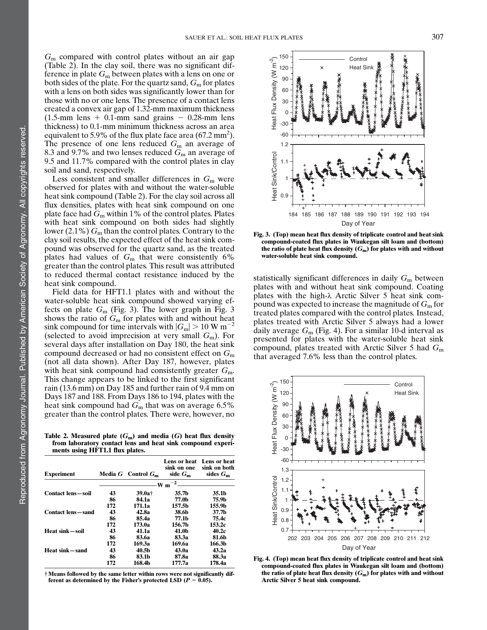$G<sub>m</sub>$  compared with control plates without an air gap (Table 2). In the clay soil, there was no significant difference in plate  $G_m$  between plates with a lens on one or both sides of the plate. For the quartz sand,  $G<sub>m</sub>$  for plates with a lens on both sides was significantly lower than for those with no or one lens. The presence of a contact lens created a convex air gap of 1.32-mm maximum thickness  $(1.5\text{-mm}$  lens + 0.1-mm sand grains - 0.28-mm lens thickness) to 0.1-mm minimum thickness across an area equivalent to 5.9% of the flux plate face area (67.2 mm<sup>2</sup>). The presence of one lens reduced  $G<sub>m</sub>$  an average of 8.3 and 9.7% and two lenses reduced  $G<sub>m</sub>$  an average of 9.5 and 11.7% compared with the control plates in clay soil and sand, respectively.

Less consistent and smaller differences in  $G<sub>m</sub>$  were observed for plates with and without the water-soluble heat sink compound (Table 2). For the clay soil across all flux densities, plates with heat sink compound on one plate face had  $G<sub>m</sub>$  within 1% of the control plates. Plates with heat sink compound on both sides had slightly lower  $(2.1\%)$  G<sub>m</sub> than the control plates. Contrary to the clay soil results, the expected effect of the heat sink compound was observed for the quartz sand, as the treated plates had values of  $G<sub>m</sub>$  that were consistently 6% greater than the control plates. This result was attributed to reduced thermal contact resistance induced by the heat sink compound.

Field data for HFT1.1 plates with and without the water-soluble heat sink compound showed varying effects on plate  $G_m$  (Fig. 3). The lower graph in Fig. 3 shows the ratio of  $G<sub>m</sub>$  for plates with and without heat sink compound for time intervals with  $|G_m| > 10 \text{ W m}^{-2}$ (selected to avoid imprecision at very small  $G<sub>m</sub>$ ). For several days after installation on Day 180, the heat sink compound decreased or had no consistent effect on  $G<sub>m</sub>$ (not all data shown). After Day 187, however, plates with heat sink compound had consistently greater  $G<sub>m</sub>$ . This change appears to be linked to the first significant rain (13.6 mm) on Day 185 and further rain of 9.4 mm on Days 187 and 188. From Days 186 to 194, plates with the heat sink compound had  $G_m$  that was on average 6.5% greater than the control plates. There were, however, no

Table 2. Measured plate  $(G_m)$  and media  $(G)$  heat flux density from laboratory contact lens and heat sink compound experiments using HFT1.1 flux plates.

| <b>Experiment</b>         |     | Media $G$ Control $G_m$ | Lens or heat<br>sink on one<br>side $G_m$ | Lens or heat<br>sink on both<br>sides $G_m$ |  |  |
|---------------------------|-----|-------------------------|-------------------------------------------|---------------------------------------------|--|--|
|                           |     |                         |                                           |                                             |  |  |
| <b>Contact lens</b> —soil | 43  | $39.0a+$                | 35.7b                                     | 35.1b                                       |  |  |
|                           | 86  | 84.1a                   | 77.0b                                     | 75.9b                                       |  |  |
|                           | 172 | 171.1a                  | 157.5b                                    | 155.9b                                      |  |  |
| <b>Contact lens</b> —sand | 43  | 42.8a                   | 38.6b                                     | 37.7 <sub>h</sub>                           |  |  |
|                           | 86  | 85.4a                   | 77.1b                                     | 75.4c                                       |  |  |
|                           | 172 | 173.0a                  | 156.7b                                    | 153.2c                                      |  |  |
| Heat sink – soil          | 43  | 41.1a                   | 41.0b                                     | 40.2c                                       |  |  |
|                           | 86  | 83.6a                   | 83.3a                                     | 81.6b                                       |  |  |
|                           | 172 | 169.3a                  | 169.6a                                    | 166.3h                                      |  |  |
| Heat sink – sand          | 43  | 40.5 <sub>b</sub>       | 43.0a                                     | 43.2a                                       |  |  |
|                           | 86  | 83.1 <sub>b</sub>       | 87.8a                                     | 88.3a                                       |  |  |
|                           | 172 | 168.4b                  | 177.7a                                    | 178.4a                                      |  |  |

† Means followed by the same letter within rows were not significantly different as determined by the Fisher's protected LSD ( $P = 0.05$ ).



Fig. 3. (Top) mean heat flux density of triplicate control and heat sink compound-coated flux plates in Waukegan silt loam and (bottom) the ratio of plate heat flux density  $(G_m)$  for plates with and without water-soluble heat sink compound.

statistically significant differences in daily  $G<sub>m</sub>$  between plates with and without heat sink compound. Coating plates with the high- $\lambda$  Arctic Silver 5 heat sink compound was expected to increase the magnitude of  $G<sub>m</sub>$  for treated plates compared with the control plates. Instead, plates treated with Arctic Silver 5 always had a lower daily average  $G<sub>m</sub>$  (Fig. 4). For a similar 10-d interval as presented for plates with the water-soluble heat sink compound, plates treated with Arctic Silver 5 had  $G<sub>m</sub>$ that averaged 7.6% less than the control plates.



Fig. 4. (Top) mean heat flux density of triplicate control and heat sink compound-coated flux plates in Waukegan silt loam and (bottom) the ratio of plate heat flux density  $(G_m)$  for plates with and without Arctic Silver 5 heat sink compound.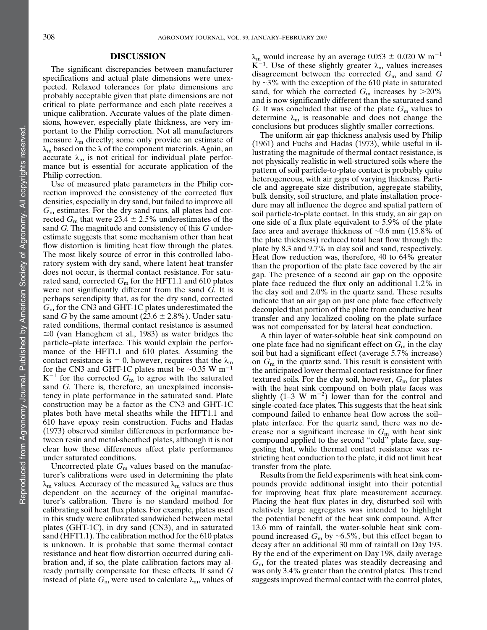# DISCUSSION

The significant discrepancies between manufacturer specifications and actual plate dimensions were unexpected. Relaxed tolerances for plate dimensions are probably acceptable given that plate dimensions are not critical to plate performance and each plate receives a unique calibration. Accurate values of the plate dimensions, however, especially plate thickness, are very important to the Philip correction. Not all manufacturers measure  $\lambda_{\rm m}$  directly; some only provide an estimate of  $\lambda_{\rm m}$  based on the  $\lambda$  of the component materials. Again, an accurate  $\lambda_{\rm m}$  is not critical for individual plate performance but is essential for accurate application of the Philip correction.

Use of measured plate parameters in the Philip correction improved the consistency of the corrected flux densities, especially in dry sand, but failed to improve all  $G<sub>m</sub>$  estimates. For the dry sand runs, all plates had corrected  $G_m$  that were 23.4  $\pm$  2.5% underestimates of the sand G. The magnitude and consistency of this G underestimate suggests that some mechanism other than heat flow distortion is limiting heat flow through the plates. The most likely source of error in this controlled laboratory system with dry sand, where latent heat transfer does not occur, is thermal contact resistance. For saturated sand, corrected  $G<sub>m</sub>$  for the HFT1.1 and 610 plates were not significantly different from the sand G. It is perhaps serendipity that, as for the dry sand, corrected  $G<sub>m</sub>$  for the CN3 and GHT-1C plates underestimated the sand G by the same amount (23.6  $\pm$  2.8%). Under saturated conditions, thermal contact resistance is assumed  $\approx$ 0 (van Haneghem et al., 1983) as water bridges the particle–plate interface. This would explain the performance of the HFT1.1 and 610 plates. Assuming the contact resistance is = 0, however, requires that the  $\lambda_{m}$ for the CN3 and GHT-1C plates must be  $\sim 0.35$  W m<sup>-1</sup>  $K^{-1}$  for the corrected  $G_m$  to agree with the saturated sand G. There is, therefore, an unexplained inconsistency in plate performance in the saturated sand. Plate construction may be a factor as the CN3 and GHT-1C plates both have metal sheaths while the HFT1.1 and 610 have epoxy resin construction. Fuchs and Hadas (1973) observed similar differences in performance between resin and metal-sheathed plates, although it is not clear how these differences affect plate performance under saturated conditions.

Uncorrected plate  $G<sub>m</sub>$  values based on the manufacturer's calibrations were used in determining the plate  $\lambda_{\rm m}$  values. Accuracy of the measured  $\lambda_{\rm m}$  values are thus dependent on the accuracy of the original manufacturer's calibration. There is no standard method for calibrating soil heat flux plates. For example, plates used in this study were calibrated sandwiched between metal plates (GHT-1C), in dry sand (CN3), and in saturated sand (HFT1.1). The calibration method for the 610 plates is unknown. It is probable that some thermal contact resistance and heat flow distortion occurred during calibration and, if so, the plate calibration factors may already partially compensate for these effects. If sand G instead of plate  $G_m$  were used to calculate  $\lambda_m$ , values of  $\lambda_{\rm m}$  would increase by an average 0.053  $\pm$  0.020 W m<sup>-1</sup> K<sup>-1</sup>. Use of these slightly greater  $\lambda_{\rm m}$  values increases disagreement between the corrected  $G<sub>m</sub>$  and sand  $G$ by  $\sim$ 3% with the exception of the 610 plate in saturated sand, for which the corrected  $G_m$  increases by  $>20\%$ and is now significantly different than the saturated sand G. It was concluded that use of the plate  $G<sub>m</sub>$  values to determine  $\lambda_m$  is reasonable and does not change the conclusions but produces slightly smaller corrections.

The uniform air gap thickness analysis used by Philip (1961) and Fuchs and Hadas (1973), while useful in illustrating the magnitude of thermal contact resistance, is not physically realistic in well-structured soils where the pattern of soil particle-to-plate contact is probably quite heterogeneous, with air gaps of varying thickness. Particle and aggregate size distribution, aggregate stability, bulk density, soil structure, and plate installation procedure may all influence the degree and spatial pattern of soil particle-to-plate contact. In this study, an air gap on one side of a flux plate equivalent to 5.9% of the plate face area and average thickness of  $\sim 0.6$  mm (15.8% of the plate thickness) reduced total heat flow through the plate by 8.3 and 9.7% in clay soil and sand, respectively. Heat flow reduction was, therefore, 40 to 64% greater than the proportion of the plate face covered by the air gap. The presence of a second air gap on the opposite plate face reduced the flux only an additional 1.2% in the clay soil and 2.0% in the quartz sand. These results indicate that an air gap on just one plate face effectively decoupled that portion of the plate from conductive heat transfer and any localized cooling on the plate surface was not compensated for by lateral heat conduction.

A thin layer of water-soluble heat sink compound on one plate face had no significant effect on  $G<sub>m</sub>$  in the clay soil but had a significant effect (average 5.7% increase) on  $G_m$  in the quartz sand. This result is consistent with the anticipated lower thermal contact resistance for finer textured soils. For the clay soil, however,  $G<sub>m</sub>$  for plates with the heat sink compound on both plate faces was slightly  $(1-3 \text{ W m}^{-2})$  lower than for the control and single-coated-face plates. This suggests that the heat sink compound failed to enhance heat flow across the soil– plate interface. For the quartz sand, there was no decrease nor a significant increase in  $G<sub>m</sub>$  with heat sink compound applied to the second "cold" plate face, suggesting that, while thermal contact resistance was restricting heat conduction to the plate, it did not limit heat transfer from the plate.

Results from the field experiments with heat sink compounds provide additional insight into their potential for improving heat flux plate measurement accuracy. Placing the heat flux plates in dry, disturbed soil with relatively large aggregates was intended to highlight the potential benefit of the heat sink compound. After 13.6 mm of rainfall, the water-soluble heat sink compound increased  $G_m$  by ~6.5%, but this effect began to decay after an additional 30 mm of rainfall on Day 193. By the end of the experiment on Day 198, daily average  $G<sub>m</sub>$  for the treated plates was steadily decreasing and was only 3.4% greater than the control plates. This trend suggests improved thermal contact with the control plates,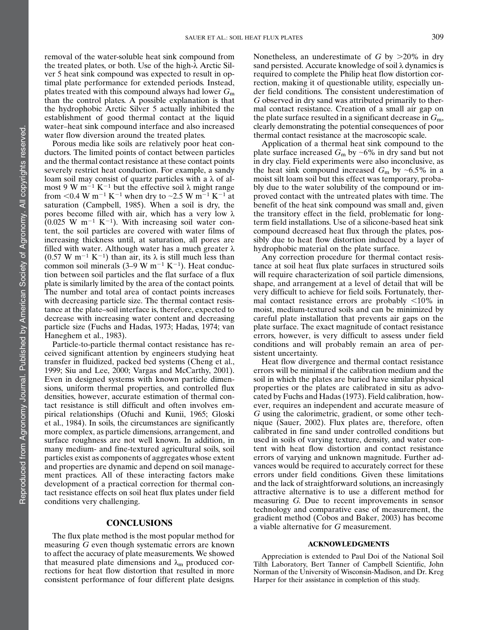removal of the water-soluble heat sink compound from the treated plates, or both. Use of the high- $\lambda$  Arctic Silver 5 heat sink compound was expected to result in optimal plate performance for extended periods. Instead, plates treated with this compound always had lower  $G<sub>m</sub>$ than the control plates. A possible explanation is that the hydrophobic Arctic Silver 5 actually inhibited the establishment of good thermal contact at the liquid water–heat sink compound interface and also increased water flow diversion around the treated plates.

Porous media like soils are relatively poor heat conductors. The limited points of contact between particles and the thermal contact resistance at these contact points severely restrict heat conduction. For example, a sandy loam soil may consist of quartz particles with a  $\lambda$  of almost 9 W m<sup>-1</sup> K<sup>-1</sup> but the effective soil  $\lambda$  might range from <0.4 W m<sup>-1</sup> K<sup>-1</sup> when dry to ~2.5 W m<sup>-1</sup> K<sup>-1</sup> at saturation (Campbell, 1985). When a soil is dry, the pores become filled with air, which has a very low  $\lambda$  $(0.025 \text{ W m}^{-1} \text{ K}^{-1})$ . With increasing soil water content, the soil particles are covered with water films of increasing thickness until, at saturation, all pores are filled with water. Although water has a much greater  $\lambda$  $(0.57 \text{ W m}^{-1} \text{ K}^{-1})$  than air, its  $\lambda$  is still much less than common soil minerals (3–9 W m<sup>-1</sup> K<sup>-1</sup>). Heat conduction between soil particles and the flat surface of a flux plate is similarly limited by the area of the contact points. The number and total area of contact points increases with decreasing particle size. The thermal contact resistance at the plate–soil interface is, therefore, expected to decrease with increasing water content and decreasing particle size (Fuchs and Hadas, 1973; Hadas, 1974; van Haneghem et al., 1983).

Particle-to-particle thermal contact resistance has received significant attention by engineers studying heat transfer in fluidized, packed bed systems (Cheng et al., 1999; Siu and Lee, 2000; Vargas and McCarthy, 2001). Even in designed systems with known particle dimensions, uniform thermal properties, and controlled flux densities, however, accurate estimation of thermal contact resistance is still difficult and often involves empirical relationships (Ofuchi and Kunii, 1965; Gloski et al., 1984). In soils, the circumstances are significantly more complex, as particle dimensions, arrangement, and surface roughness are not well known. In addition, in many medium- and fine-textured agricultural soils, soil particles exist as components of aggregates whose extent and properties are dynamic and depend on soil management practices. All of these interacting factors make development of a practical correction for thermal contact resistance effects on soil heat flux plates under field conditions very challenging.

# **CONCLUSIONS**

The flux plate method is the most popular method for measuring G even though systematic errors are known to affect the accuracy of plate measurements. We showed that measured plate dimensions and  $\lambda_{\rm m}$  produced corrections for heat flow distortion that resulted in more consistent performance of four different plate designs.

Nonetheless, an underestimate of G by  $>20\%$  in dry sand persisted. Accurate knowledge of soil  $\lambda$  dynamics is required to complete the Philip heat flow distortion correction, making it of questionable utility, especially under field conditions. The consistent underestimation of G observed in dry sand was attributed primarily to thermal contact resistance. Creation of a small air gap on the plate surface resulted in a significant decrease in  $G<sub>m</sub>$ , clearly demonstrating the potential consequences of poor thermal contact resistance at the macroscopic scale.

Application of a thermal heat sink compound to the plate surface increased  $G_m$  by ~6% in dry sand but not in dry clay. Field experiments were also inconclusive, as the heat sink compound increased  $G_m$  by ~6.5% in a moist silt loam soil but this effect was temporary, probably due to the water solubility of the compound or improved contact with the untreated plates with time. The benefit of the heat sink compound was small and, given the transitory effect in the field, problematic for longterm field installations. Use of a silicone-based heat sink compound decreased heat flux through the plates, possibly due to heat flow distortion induced by a layer of hydrophobic material on the plate surface.

Any correction procedure for thermal contact resistance at soil heat flux plate surfaces in structured soils will require characterization of soil particle dimensions, shape, and arrangement at a level of detail that will be very difficult to achieve for field soils. Fortunately, thermal contact resistance errors are probably  $\langle 10\% \rangle$  in moist, medium-textured soils and can be minimized by careful plate installation that prevents air gaps on the plate surface. The exact magnitude of contact resistance errors, however, is very difficult to assess under field conditions and will probably remain an area of persistent uncertainty.

Heat flow divergence and thermal contact resistance errors will be minimal if the calibration medium and the soil in which the plates are buried have similar physical properties or the plates are calibrated in situ as advocated by Fuchs and Hadas (1973). Field calibration, however, requires an independent and accurate measure of G using the calorimetric, gradient, or some other technique (Sauer, 2002). Flux plates are, therefore, often calibrated in fine sand under controlled conditions but used in soils of varying texture, density, and water content with heat flow distortion and contact resistance errors of varying and unknown magnitude. Further advances would be required to accurately correct for these errors under field conditions. Given these limitations and the lack of straightforward solutions, an increasingly attractive alternative is to use a different method for measuring G. Due to recent improvements in sensor technology and comparative ease of measurement, the gradient method (Cobos and Baker, 2003) has become a viable alternative for G measurement.

### ACKNOWLEDGMENTS

Appreciation is extended to Paul Doi of the National Soil Tilth Laboratory, Bert Tanner of Campbell Scientific, John Norman of the University of Wisconsin-Madison, and Dr. Kreg Harper for their assistance in completion of this study.